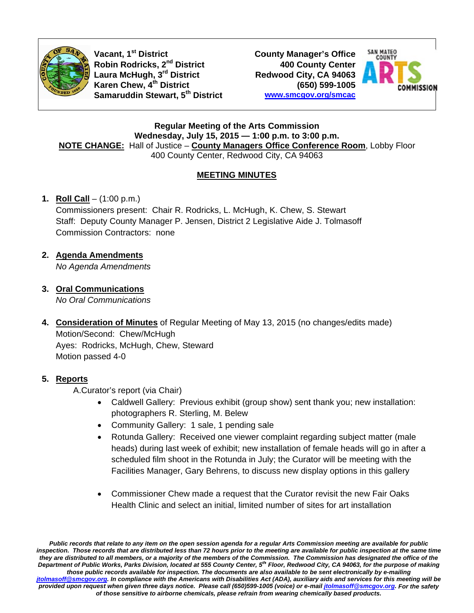

Vacant, 1<sup>st</sup> District Robin Rodricks, 2<sup>nd</sup> District Laura McHugh, 3<sup>rd</sup> District Karen Chew, 4<sup>th</sup> District Samaruddin Stewart, 5<sup>th</sup> District **County Manager's Office 400 County Center** Redwood City, CA 94063 (650) 599-1005 www.smcgov.org/smcac



**Regular Meeting of the Arts Commission** Wednesday, July 15, 2015 - 1:00 p.m. to 3:00 p.m. NOTE CHANGE: Hall of Justice - County Managers Office Conference Room, Lobby Floor 400 County Center, Redwood City, CA 94063

### **MEETING MINUTES**

### 1. **Roll Call** –  $(1:00 \text{ p.m.})$

Commissioners present: Chair R. Rodricks, L. McHugh, K. Chew, S. Stewart Staff: Deputy County Manager P. Jensen, District 2 Legislative Aide J. Tolmasoff **Commission Contractors: none** 

2. Agenda Amendments

No Agenda Amendments

- 3. Oral Communications No Oral Communications
- 4. Consideration of Minutes of Regular Meeting of May 13, 2015 (no changes/edits made) Motion/Second: Chew/McHugh Ayes: Rodricks, McHugh, Chew, Steward Motion passed 4-0

#### 5. Reports

A.Curator's report (via Chair)

- Caldwell Gallery: Previous exhibit (group show) sent thank you; new installation: photographers R. Sterling, M. Belew
- Community Gallery: 1 sale, 1 pending sale
- $\bullet$ Rotunda Gallery: Received one viewer complaint regarding subject matter (male heads) during last week of exhibit; new installation of female heads will go in after a scheduled film shoot in the Rotunda in July; the Curator will be meeting with the Facilities Manager, Gary Behrens, to discuss new display options in this gallery
- Commissioner Chew made a request that the Curator revisit the new Fair Oaks  $\bullet$ Health Clinic and select an initial, limited number of sites for art installation

Public records that relate to any item on the open session agenda for a regular Arts Commission meeting are available for public inspection. Those records that are distributed less than 72 hours prior to the meeting are available for public inspection at the same time they are distributed to all members, or a majority of the members of the Commission. The Commission has designated the office of the Department of Public Works, Parks Division, located at 555 County Center, 5th Floor, Redwood City, CA 94063, for the purpose of making those public records available for inspection. The documents are also available to be sent electronically by e-mailing itolmasoff@smcgov.org. In compliance with the Americans with Disabilities Act (ADA), auxiliary aids and services for this meeting will be provided upon request when given three days notice. Please call (650)599-1005 (voice) or e-mail jtolmasoff@smcgov.org. For the safety of those sensitive to airborne chemicals, please refrain from wearing chemically based products.